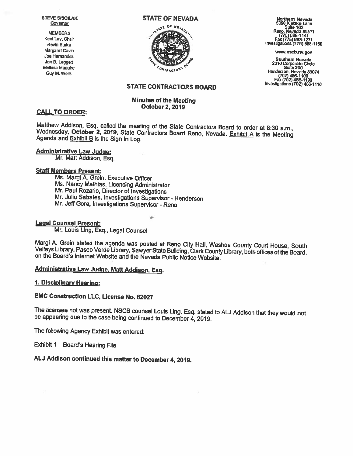Melissa Maguire

#### STEVE SISOILAK STATE OF NEVADA



VE SISOILAK STATE OF NEVADA Morthern Nevada<br>
Governor STATE OF NEVADA S390 Kietzke Lane<br>
Silite 102<br>
MEMBERS Reno, Nevada 8951<br>
Silite 102<br>
Fax (775) 688-1271

Guy M. Wells New Marchael (1997) (1997) The Campion of the Campion of the Henderson, New 1490-1499.<br>Guy M. Wells Fac(7d2) 466-1190 Investigations (702) 486-1110

# STATE CONTRACTORS BOARD

# Minutes of the Meeting<br>CALL TO ORDER: CALL TO ORDER:

Matthew Addison, Esq. called the meeting of the State Contractors Board to order at 8:30 a.m., Wednesday, October 2, 2019, State Contractors Board Reno, Nevada. Exhibit A is the Meeting Agenda and Exhibit B is the Sign In

#### Administrative Law Judge:

Mr. Matt Addison, Esq.

#### Staff Members Present:

Ms. Margi A. Grein, Executive Officer<br>Ms. Nancy Mathias, Licensing Administrator Mr. Paul Rozario, Director of Investigations<br>Mr. Julio Sabates, Investigations Supervisor - Henderson<br>Mr. Jeff Gore, Investigations Supervisor - Reno

# Legal Counsel Present:

Mr. Louis Ling, Esq., Legal Counsel

Margi A. Grein stated the agenda was posted at Reno City Hall, Washoe County Court House, South<br>Valleys Library, Paseo Verde Library, Sawyer State Building, Clark County Library, both offices of the Board,<br>on the Board's I

4-

# Administrative Law Judge, Matt Addison, Esq.

### 1. DIsciplinary Hearing:

# EMC Construction LLC, License No. 82027

The licensee not was present. NSCB counsel Louis Ling, Esq. stated to AU Addison that they would not be appearing due to the case being continued to December 4,2019.

The following Agency Exhibit was entered:

Exhibit <sup>1</sup> — Board's Hearing File

# ALJ Addison continued this matter to December 4, 2019.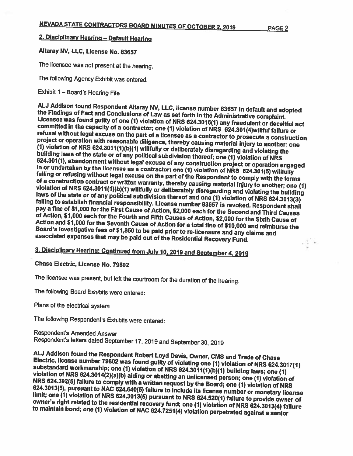# 2. Disciplinary Hearina — Default Hearina

# Altaray NV, LLC, Ucense No. 83657

The licensee was not present at the hearing.

The following Agency Exhibit was entered:

Exhibit <sup>1</sup> — Board's Hearing File

ALJ Addison found Respondent Altaray NV, LLC, license number 83657 in default and adopted<br>the Findings of Fact and Conclusions of Law as set forth in the Administrative complaint.<br>Licensee was found guilty of one (1) viola <sup>a</sup> licensee as <sup>a</sup> contractor to prosecute (1) violation of NRS 624.3011(1)(b)(1) willfully or deliberately disregarding and violating the<br>building laws of the state or of any political subdivision thereof; one (1) violation of NRS<br>624.301(1), abandonment without violation of NRS 624.3011(1)(b)(1) willfully or deliberately disregarding and violating the building<br>laws of the state or of any political subdivision thereof and one (1) violation of NRS 624.3013(3)<br>failing to establish f of Action, \$1,000 each for the Fourth and Fifth Causes of Action, \$2,000 for the Sixth Cause of Action and \$1,000 for the Seventh Cause of Action for Action and \$1,000 for the Seventh Cause of Action for a total fine of \$10,000 and reimburse the<br>Board's investigative fees of \$1,850 to be paid prior to re-licensure and any claims and<br>associated expenses that may be paid  $\sim$   $\frac{1}{2}$  ,

3. DIsciplinary Hearing: Continued from July 10, <sup>2019</sup> and September 4, <sup>2019</sup>

Chase Electric, License No. 79802

The licensee was present, but left the courtroom for the duration of the hearing.

The following Board Exhibits were entered:

Plans of the electrical system

The following Respondent's Exhibits were entered:

Respondent's Amended Answer Respondent's letters dated September 17, <sup>2019</sup> and September 30, <sup>2019</sup>

ALJ Addison found the Respondent Robert Loyd Davis, Owner, CMS and Trade of Chase<br>Electric, license number 79802 was found guilty of violating one (1) violation of NRS 624.3017(1)<br>substandard workmanship; one (1) violation NRS 624.302(5) failure to comply with a written request by the Board; one (1) violation of NRS 624.3013(5), pursuant to NAC 624.640(5) failure to include its license number or monetary license<br>limit; one (1) violation of NRS 624.3013(5) pursuant to NRS 624.520(1) failure to provide owner of<br>owner's right related to to maintain bond; one (1) violation of NAC 624.7251(4) violation perpetrated against a senior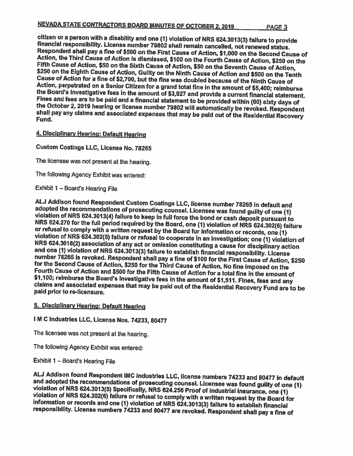# NEVADA STATE CONTRACTORS BOARD MINUTES OF OCTOBER 2, <sup>2019</sup> PAGE <sup>3</sup>

citizen or a person with a disability and one (1) violation of NRS 624.3013(3) failure to provide<br>financial responsibility. License number 79802 shall remain cancelled, not renewed status.<br>Respondent shall pay a fine of \$

# 4. Disciplinary Hearing: Default Hearing

Custom Coatings LLC, License No. 78265

The licensee was not present at the hearing.

The following Agency Exhibit was entered:

Exhibit <sup>1</sup> — Board's Hearing File

ALJ Addison found Respondent Custom Coatings LLC, license number 78265 in default and<br>adopted the recommendations of prosecuting counsel. Licensee was found guilty of one (1)<br>violation of NRS 624.3013(4) failure to keep i

# 5. Disciplinary Hearing: Default Hearing

<sup>I</sup> <sup>M</sup> <sup>C</sup> Industries LLC, License Nos. 74233, <sup>80477</sup>

The licensee was not present at the hearing.

The following Agency Exhibit was entered:

Exhibit <sup>1</sup> — Board's Hearing File

ALJ Addison found Respondent IMC Industries LLC, license numbers 74233 and 80477 in default<br>and adopted the recommendations of prosecuting counsel. Licensee was found guilty of one (1)<br>violation of NRS 624.3013(5) Specific